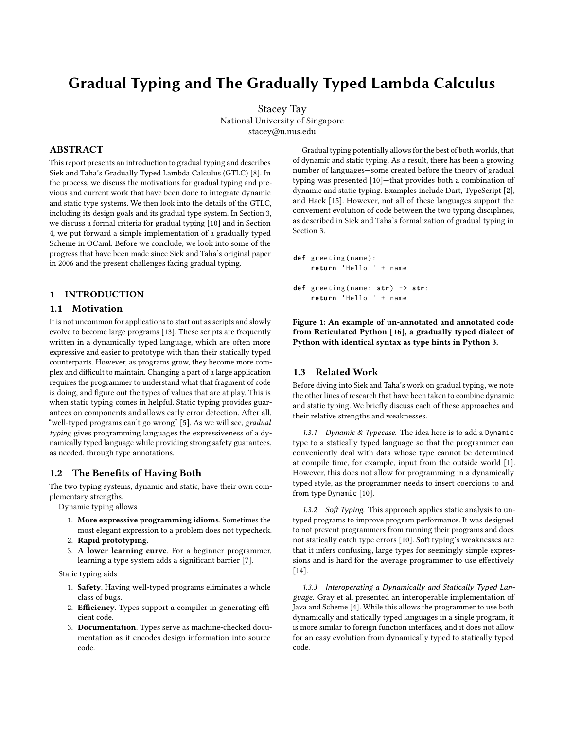# Gradual Typing and The Gradually Typed Lambda Calculus

Stacey Tay National University of Singapore stacey@u.nus.edu

# ABSTRACT

This report presents an introduction to gradual typing and describes [Siek and Taha'](#page-5-0)s Gradually Typed Lambda Calculus (GTLC) [\[8\]](#page-5-0). In the process, we discuss the motivations for gradual typing and previous and current work that have been done to integrate dynamic and static type systems. We then look into the details of the GTLC, including its design goals and its gradual type system. In Section [3,](#page-2-0) we discuss a formal criteria for gradual typing [\[10\]](#page-5-1) and in Section [4,](#page-3-0) we put forward a simple implementation of a gradually typed Scheme in OCaml. Before we conclude, we look into some of the progress that have been made since [Siek and Taha'](#page-5-0)s original paper in 2006 and the present challenges facing gradual typing.

# 1 INTRODUCTION

# 1.1 Motivation

It is not uncommon for applications to start out as scripts and slowly evolve to become large programs [\[13\]](#page-5-2). These scripts are frequently written in a dynamically typed language, which are often more expressive and easier to prototype with than their statically typed counterparts. However, as programs grow, they become more complex and difficult to maintain. Changing a part of a large application requires the programmer to understand what that fragment of code is doing, and figure out the types of values that are at play. This is when static typing comes in helpful. Static typing provides guarantees on components and allows early error detection. After all, "well-typed programs can't go wrong" [\[5\]](#page-5-3). As we will see, gradual typing gives programming languages the expressiveness of a dynamically typed language while providing strong safety guarantees, as needed, through type annotations.

## 1.2 The Benefits of Having Both

The two typing systems, dynamic and static, have their own complementary strengths.

Dynamic typing allows

- 1. More expressive programming idioms. Sometimes the most elegant expression to a problem does not typecheck.
- 2. Rapid prototyping.
- 3. A lower learning curve. For a beginner programmer, learning a type system adds a significant barrier [\[7\]](#page-5-4).

Static typing aids

- 1. Safety. Having well-typed programs eliminates a whole class of bugs.
- 2. Efficiency. Types support a compiler in generating efficient code.
- 3. Documentation. Types serve as machine-checked documentation as it encodes design information into source code.

Gradual typing potentially allows for the best of both worlds, that of dynamic and static typing. As a result, there has been a growing number of languages—some created before the theory of gradual typing was presented [\[10\]](#page-5-1)—that provides both a combination of dynamic and static typing. Examples include Dart, TypeScript [\[2\]](#page-5-5), and Hack [\[15\]](#page-5-6). However, not all of these languages support the convenient evolution of code between the two typing disciplines, as described in [Siek and Taha'](#page-5-0)s formalization of gradual typing in Section [3.](#page-2-0)

```
def greeting ( name ) :
    return 'Hello ' + name
def greeting ( name : str ) -> str :
    return 'Hello ' + name
```
Figure 1: An example of un-annotated and annotated code from Reticulated Python [\[16\]](#page-5-7), a gradually typed dialect of Python with identical syntax as type hints in Python 3.

# 1.3 Related Work

Before diving into [Siek and Taha'](#page-5-0)s work on gradual typing, we note the other lines of research that have been taken to combine dynamic and static typing. We briefly discuss each of these approaches and their relative strengths and weaknesses.

1.3.1 Dynamic  $&$  Typecase. The idea here is to add a Dynamic type to a statically typed language so that the programmer can conveniently deal with data whose type cannot be determined at compile time, for example, input from the outside world [\[1\]](#page-5-8). However, this does not allow for programming in a dynamically typed style, as the programmer needs to insert coercions to and from type Dynamic [\[10\]](#page-5-1).

1.3.2 Soft Typing. This approach applies static analysis to untyped programs to improve program performance. It was designed to not prevent programmers from running their programs and does not statically catch type errors [\[10\]](#page-5-1). Soft typing's weaknesses are that it infers confusing, large types for seemingly simple expressions and is hard for the average programmer to use effectively [\[14\]](#page-5-9).

1.3.3 Interoperating a Dynamically and Statically Typed Language. [Gray et al.](#page-5-10) presented an interoperable implementation of Java and Scheme [\[4\]](#page-5-10). While this allows the programmer to use both dynamically and statically typed languages in a single program, it is more similar to foreign function interfaces, and it does not allow for an easy evolution from dynamically typed to statically typed code.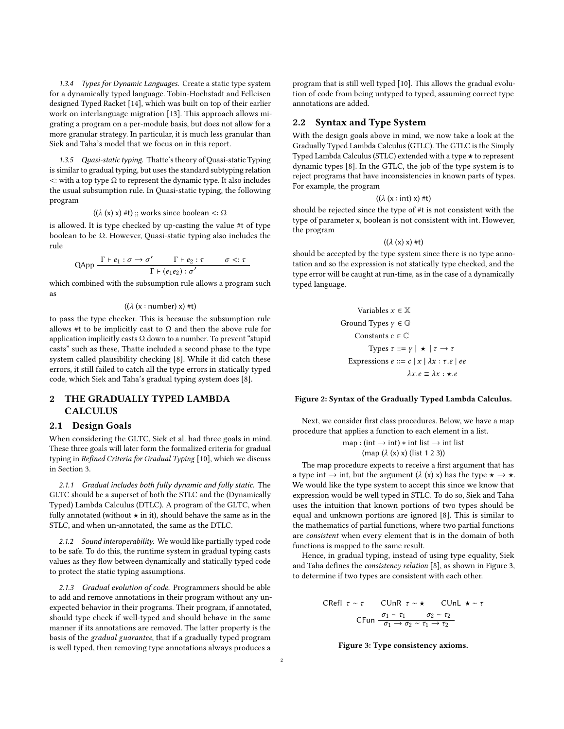1.3.4 Types for Dynamic Languages. Create a static type system for a dynamically typed language. [Tobin-Hochstadt and Felleisen](#page-5-9) designed Typed Racket [\[14\]](#page-5-9), which was built on top of their earlier work on interlanguage migration [\[13\]](#page-5-2). This approach allows migrating a program on a per-module basis, but does not allow for a more granular strategy. In particular, it is much less granular than [Siek and Taha'](#page-5-0)s model that we focus on in this report.

1.3.5 Quasi-static typing. [Thatte'](#page-5-11)s theory of Quasi-static Typing is similar to gradual typing, but uses the standard subtyping relation  $\lt$ : with a top type  $\Omega$  to represent the dynamic type. It also includes the usual subsumption rule. In Quasi-static typing, the following program

$$
((\lambda(x), x) #t)
$$
 :: works since boolean  $\langle$ :  $\Omega$ 

( $(\lambda(x), x)$  #t) ;; works since boolean <:  $\Omega$ <br>is allowed. It is type checked by up-casting the value #t of type boolean to be Ω. However, Quasi-static typing also includes the rule

$$
QApp \frac{\Gamma \vdash e_1 : \sigma \to \sigma' \qquad \Gamma \vdash e_2 : \tau \qquad \sigma <: \tau}{\Gamma \vdash (e_1 e_2) : \sigma'}
$$
\nwhich combined with the subsumption rule allows a program such

as

 $((\lambda$  (x : number) x) #t)

to pass the type checker. This is because the subsumption rule allows #t to be implicitly cast to  $\Omega$  and then the above rule for application implicitly casts  $\Omega$  down to a number. To prevent "stupid casts" such as these, [Thatte](#page-5-11) included a second phase to the type system called plausibility checking [\[8\]](#page-5-0). While it did catch these errors, it still failed to catch all the type errors in statically typed code, which [Siek and Taha'](#page-5-0)s gradual typing system does [\[8\]](#page-5-0).

# 2 THE GRADUALLY TYPED LAMBDA **CALCULUS**

# <span id="page-1-1"></span>2.1 Design Goals

When considering the GLTC, [Siek et al.](#page-5-1) had three goals in mind. These three goals will later form the formalized criteria for gradual typing in Refined Criteria for Gradual Typing [\[10\]](#page-5-1), which we discuss in Section [3.](#page-2-0)

2.1.1 Gradual includes both fully dynamic and fully static. The GLTC should be a superset of both the STLC and the (Dynamically Typed) Lambda Calculus (DTLC). A program of the GLTC, when fully annotated (without  $\star$  in it), should behave the same as in the STLC, and when un-annotated, the same as the DTLC.

2.1.2 Sound interoperability. We would like partially typed code to be safe. To do this, the runtime system in gradual typing casts values as they flow between dynamically and statically typed code to protect the static typing assumptions.

2.1.3 Gradual evolution of code. Programmers should be able to add and remove annotations in their program without any unexpected behavior in their programs. Their program, if annotated, should type check if well-typed and should behave in the same manner if its annotations are removed. The latter property is the basis of the gradual guarantee, that if a gradually typed program is well typed, then removing type annotations always produces a

program that is still well typed [\[10\]](#page-5-1). This allows the gradual evolution of code from being untyped to typed, assuming correct type annotations are added.

# 2.2 Syntax and Type System

With the design goals above in mind, we now take a look at the Gradually Typed Lambda Calculus (GTLC). The GTLC is the Simply Typed Lambda Calculus (STLC) extended with a type  $\star$  to represent dynamic types [\[8\]](#page-5-0). In the GTLC, the job of the type system is to reject programs that have inconsistencies in known parts of types. For example, the program

 $((\lambda (x : int) x) #t)$ 

should be rejected since the type of #t is not consistent with the type of parameter x, boolean is not consistent with int. However, the program

$$
((\lambda(x) x) * t)
$$

<span id="page-1-2"></span>should be accepted by the type system since there is no type annotation and so the expression is not statically type checked, and the type error will be caught at run-time, as in the case of a dynamically typed language.

\n
$$
\text{Variables } x \in \mathbb{X}
$$
\n

\n\n
$$
\text{Ground Types } \gamma \in \mathbb{G}
$$
\n

\n\n
$$
\text{Constants } c \in \mathbb{C}
$$
\n

\n\n
$$
\text{Types } \tau ::= \gamma \mid \star \mid \tau \to \tau
$$
\n

\n\n
$$
\text{Expressions } e ::= c \mid x \mid \lambda x : \tau.e \mid ee
$$
\n

\n\n
$$
\lambda x.e \equiv \lambda x : \star.e
$$
\n

#### Figure 2: Syntax of the Gradually Typed Lambda Calculus.

Next, we consider first class procedures. Below, we have a map procedure that applies a function to each element in a list.

$$
\text{map} : (\text{int} \to \text{int}) * \text{int list} \to \text{int list}
$$
\n
$$
(\text{map } (\lambda \text{ (x) x) (list 1 2 3))})
$$

The map procedure expects to receive a first argument that has a type int  $\rightarrow$  int, but the argument ( $\lambda$  (x) x) has the type  $\star \rightarrow \star$ . We would like the type system to accept this since we know that expression would be well typed in STLC. To do so, [Siek and Taha](#page-5-0) uses the intuition that known portions of two types should be equal and unknown portions are ignored [\[8\]](#page-5-0). This is similar to the mathematics of partial functions, where two partial functions are consistent when every element that is in the domain of both functions is mapped to the same result.

Hence, in gradual typing, instead of using type equality, [Siek](#page-5-0) [and Taha](#page-5-0) defines the *consistency relation* [\[8\]](#page-5-0), as shown in Figure [3,](#page-1-0) to determine if two types are consistent with each other.

<span id="page-1-0"></span>CRefl 
$$
\tau \sim \tau
$$

\nCUnR  $\tau \sim \star$ 

\nCUnL  $\star \sim \tau$ 

\nCFun  $\frac{\sigma_1 \sim \tau_1}{\sigma_1 \rightarrow \sigma_2 \sim \tau_1 \rightarrow \tau_2}$ 

Figure 3: Type consistency axioms.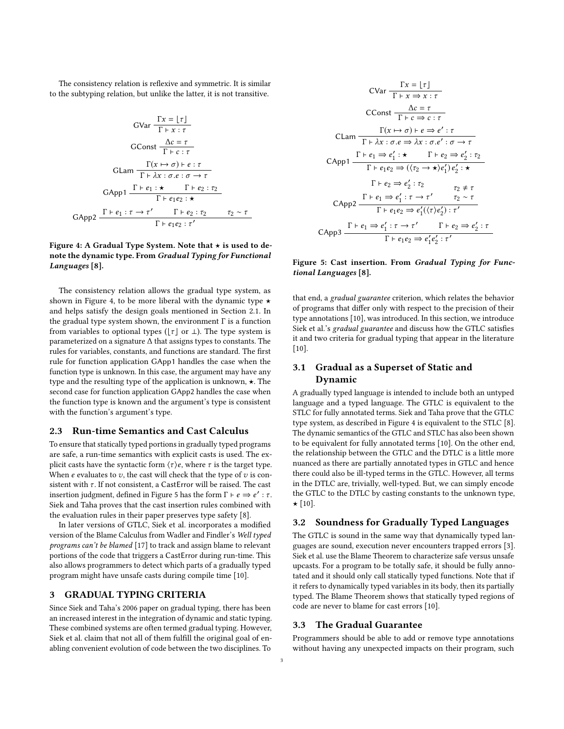The consistency relation is reflexive and symmetric. It is similar to the subtyping relation, but unlike the latter, it is not transitive.

<span id="page-2-1"></span>
$$
GVar \frac{Tx = \lfloor \tau \rfloor}{\Gamma + x : \tau}
$$
  
 
$$
GConst \frac{\Delta c = \tau}{\Gamma + c : \tau}
$$
  
 
$$
GLam \frac{\Gamma(x \mapsto \sigma) \vdash e : \tau}{\Gamma + \lambda x : \sigma.e : \sigma \rightarrow \tau}
$$
  
 
$$
GApp1 \frac{\Gamma + e_1 : \star \quad \Gamma + e_2 : \tau_2}{\Gamma + e_1 e_2 : \star}
$$
  
 
$$
GApp2 \frac{\Gamma + e_1 : \tau \rightarrow \tau' \quad \Gamma + e_2 : \tau_2 \quad \tau_2 \sim \tau}{\Gamma + e_1 e_2 : \tau'}
$$

#### Figure 4: A Gradual Type System. Note that  $\star$  is used to denote the dynamic type. From Gradual Typing for Functional Languages [\[8\]](#page-5-0).

The consistency relation allows the gradual type system, as shown in Figure [4,](#page-2-1) to be more liberal with the dynamic type  $\star$ and helps satisfy the design goals mentioned in Section [2.1.](#page-1-1) In the gradual type system shown, the environment  $\Gamma$  is a function from variables to optional types ( $\lfloor \tau \rfloor$  or ⊥). The type system is parameterized on a signature ∆ that assigns types to constants. The rules for variables, constants, and functions are standard. The first rule for function application GApp1 handles the case when the function type is unknown. In this case, the argument may have any type and the resulting type of the application is unknown,  $\star$ . The second case for function application GApp2 handles the case when the function type is known and the argument's type is consistent with the function's argument's type.

# 2.3 Run-time Semantics and Cast Calculus

To ensure that statically typed portions in gradually typed programs are safe, a run-time semantics with explicit casts is used. The explicit casts have the syntactic form  $\langle \tau \rangle e$ , where  $\tau$  is the target type. When  $e$  evaluates to  $v$ , the cast will check that the type of  $v$  is consistent with  $\tau$ . If not consistent, a CastError will be raised. The cast insertion judgment, defined in Figure [5](#page-2-2) has the form Γ ⊦  $e \Rightarrow e' : \tau$ .<br>Siek and Taba proves that the cast insertion rules combined with [Siek and Taha](#page-5-0) proves that the cast insertion rules combined with the evaluation rules in their paper preserves type safety [\[8\]](#page-5-0).

In later versions of GTLC, [Siek et al.](#page-5-1) incorporates a modified version of the Blame Calculus from [Wadler and Findler'](#page-5-12)s Well typed programs can't be blamed [\[17\]](#page-5-12) to track and assign blame to relevant portions of the code that triggers a CastError during run-time. This also allows programmers to detect which parts of a gradually typed program might have unsafe casts during compile time [\[10\]](#page-5-1).

# <span id="page-2-0"></span>3 GRADUAL TYPING CRITERIA

Since [Siek and Taha'](#page-5-0)s 2006 paper on gradual typing, there has been an increased interest in the integration of dynamic and static typing. These combined systems are often termed gradual typing. However, [Siek et al.](#page-5-1) claim that not all of them fulfill the original goal of enabling convenient evolution of code between the two disciplines. To

<span id="page-2-2"></span>
$$
C\text{Var } \frac{\Gamma x = \lfloor \tau \rfloor}{\Gamma + x \Rightarrow x : \tau}
$$
\n
$$
C\text{Const } \frac{\Delta c = \tau}{\Gamma + c \Rightarrow c : \tau}
$$
\n
$$
C\text{Lam } \frac{\Gamma(x \mapsto \sigma) \cdot e \Rightarrow e' : \tau}{\Gamma + \lambda x : \sigma.e \Rightarrow \lambda x : \sigma.e' : \sigma \rightarrow \tau}
$$
\n
$$
C\text{App1 } \frac{\Gamma + e_1 \Rightarrow e_1' : \star \quad \Gamma + e_2 \Rightarrow e_2' : \tau_2}{\Gamma + e_1 e_2 \Rightarrow ((\tau_2 \rightarrow \star) e_1') e_2' : \star}
$$
\n
$$
\Gamma + e_2 \Rightarrow e_2' : \tau_2
$$
\n
$$
C\text{App2 } \frac{\Gamma + e_1 \Rightarrow e_1' : \tau \rightarrow \tau'}{\Gamma + e_1 e_2 \Rightarrow e_1' ((\tau) e_2') : \tau'}
$$
\n
$$
C\text{App3 } \frac{\Gamma + e_1 \Rightarrow e_1' : \tau \rightarrow \tau'}{\Gamma + e_1 e_2 \Rightarrow e_1' e_2' : \tau'}
$$

# Figure 5: Cast insertion. From Gradual Typing for Functional Languages [\[8\]](#page-5-0).

that end, a gradual guarantee criterion, which relates the behavior of programs that differ only with respect to the precision of their type annotations [\[10\]](#page-5-1), was introduced. In this section, we introduce [Siek et al.'](#page-5-1)s gradual guarantee and discuss how the GTLC satisfies it and two criteria for gradual typing that appear in the literature [\[10\]](#page-5-1).

# 3.1 Gradual as a Superset of Static and Dynamic

A gradually typed language is intended to include both an untyped language and a typed language. The GTLC is equivalent to the STLC for fully annotated terms. [Siek and Taha](#page-5-0) prove that the GTLC type system, as described in Figure [4](#page-2-1) is equivalent to the STLC [\[8\]](#page-5-0). The dynamic semantics of the GTLC and STLC has also been shown to be equivalent for fully annotated terms [\[10\]](#page-5-1). On the other end, the relationship between the GTLC and the DTLC is a little more nuanced as there are partially annotated types in GTLC and hence there could also be ill-typed terms in the GTLC. However, all terms in the DTLC are, trivially, well-typed. But, we can simply encode the GTLC to the DTLC by casting constants to the unknown type,  $\star$  [\[10\]](#page-5-1).

# 3.2 Soundness for Gradually Typed Languages

The GTLC is sound in the same way that dynamically typed languages are sound, execution never encounters trapped errors [\[3\]](#page-5-13). [Siek et al.](#page-5-1) use the Blame Theorem to characterize safe versus unsafe upcasts. For a program to be totally safe, it should be fully annotated and it should only call statically typed functions. Note that if it refers to dynamically typed variables in its body, then its partially typed. The Blame Theorem shows that statically typed regions of code are never to blame for cast errors [\[10\]](#page-5-1).

# 3.3 The Gradual Guarantee

Programmers should be able to add or remove type annotations without having any unexpected impacts on their program, such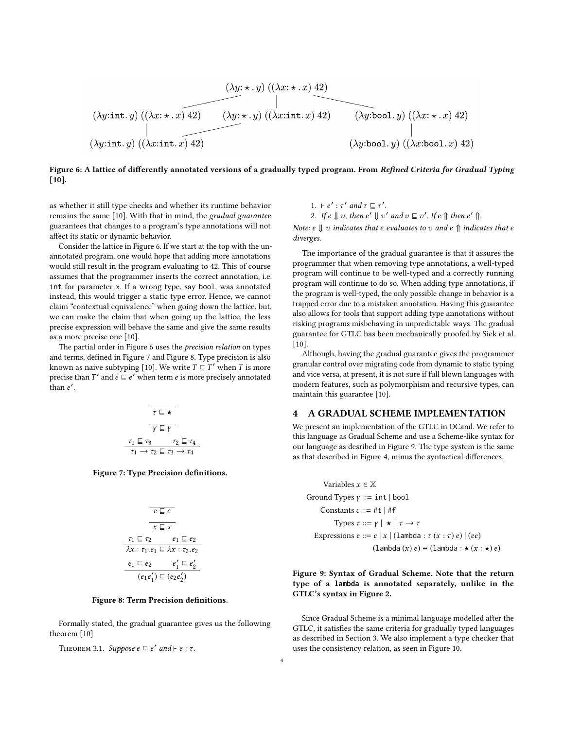<span id="page-3-1"></span>
$$
(\lambda y: \star \cdot y) ((\lambda x: \star \cdot x) 42)
$$
\n
$$
(\lambda y: \star \cdot y) ((\lambda x: \star \cdot x) 42)
$$
\n
$$
(\lambda y: \star \cdot y) ((\lambda x: \star \cdot x) 42)
$$
\n
$$
(\lambda y: \star \cdot y) ((\lambda x: \star \cdot x) 42)
$$
\n
$$
(\lambda y: \star \cdot y) ((\lambda x: \star \cdot x) 42)
$$
\n
$$
(\lambda y: \star \cdot y) ((\lambda x: \star \cdot x) 42)
$$
\n
$$
(\lambda y: \star \cdot y) ((\lambda x: \star \cdot x) 42)
$$

#### Figure 6: A lattice of differently annotated versions of a gradually typed program. From Refined Criteria for Gradual Typing [\[10\]](#page-5-1).

as whether it still type checks and whether its runtime behavior remains the same [\[10\]](#page-5-1). With that in mind, the gradual guarantee guarantees that changes to a program's type annotations will not affect its static or dynamic behavior.

Consider the lattice in Figure [6.](#page-3-1) If we start at the top with the unannotated program, one would hope that adding more annotations would still result in the program evaluating to 42. This of course assumes that the programmer inserts the correct annotation, i.e. int for parameter x. If a wrong type, say bool, was annotated instead, this would trigger a static type error. Hence, we cannot claim "contextual equivalence" when going down the lattice, but, we can make the claim that when going up the lattice, the less precise expression will behave the same and give the same results as a more precise one [\[10\]](#page-5-1).

<span id="page-3-2"></span>The partial order in Figure [6](#page-3-1) uses the precision relation on types and terms, defined in Figure [7](#page-3-2) and Figure [8.](#page-3-3) Type precision is also known as naive subtyping [\[10\]](#page-5-1). We write  $T \subseteq T'$  when T is more precise than T' and  $e \subseteq e'$  when term  $e$  is more precisely annotated  $\epsilon$  than  $e'$ .

$$
\begin{array}{c}\n\hline\n\tau \sqsubseteq \star \\
\hline\n\gamma \sqsubseteq \gamma \\
\hline\n\tau_1 \sqsubseteq \tau_3 \qquad \tau_2 \sqsubseteq \tau_4 \\
\tau_1 \rightarrow \tau_2 \sqsubseteq \tau_3 \rightarrow \tau_4\n\end{array}
$$

<span id="page-3-3"></span>Figure 7: Type Precision definitions.

$$
\begin{array}{c}\n\overline{c \sqsubseteq c} \\
\hline\n\overline{x \sqsubseteq x} \\
\hline\n\overline{x_1 \sqsubseteq z_2} \\
\hline\n\lambda x : \tau_1 \cdot e_1 \sqsubseteq \lambda x : \tau_2 \cdot e_2 \\
\hline\n\overline{e_1 \sqsubseteq e_2} \\
\hline\n(e_1 e_1') \sqsubseteq (e_2 e_2')\n\end{array}
$$

#### Figure 8: Term Precision definitions.

Formally stated, the gradual guarantee gives us the following theorem [\[10\]](#page-5-1)

THEOREM 3.1. Suppose  $e \sqsubseteq e'$  and  $\vdash e : \tau$ .

1.  $\vdash e' : \tau'$  and  $\tau \sqsubseteq \tau'$ . 2. If  $e \Downarrow v$ , then  $e' \Downarrow v'$  and  $v \sqsubseteq v'$ . If  $e \Uparrow$  then  $e' \Uparrow$ .

Note: e  $\parallel v$  indicates that e evaluates to v and e  $\parallel$  indicates that e diverges.

The importance of the gradual guarantee is that it assures the programmer that when removing type annotations, a well-typed program will continue to be well-typed and a correctly running program will continue to do so. When adding type annotations, if the program is well-typed, the only possible change in behavior is a trapped error due to a mistaken annotation. Having this guarantee also allows for tools that support adding type annotations without risking programs misbehaving in unpredictable ways. The gradual guarantee for GTLC has been mechanically proofed by [Siek et al.](#page-5-1) [\[10\]](#page-5-1).

Although, having the gradual guarantee gives the programmer granular control over migrating code from dynamic to static typing and vice versa, at present, it is not sure if full blown languages with modern features, such as polymorphism and recursive types, can maintain this guarantee [\[10\]](#page-5-1).

# <span id="page-3-0"></span>4 A GRADUAL SCHEME IMPLEMENTATION

We present an implementation of the GTLC in OCaml. We refer to this language as Gradual Scheme and use a Scheme-like syntax for our language as desribed in Figure [9.](#page-3-4) The type system is the same as that described in Figure [4,](#page-2-1) minus the syntactical differences.

<span id="page-3-4"></span>\nVariables 
$$
x \in \mathbb{X}
$$
  
\nGround Types  $\gamma ::= \text{int} | \text{bool}$   
\nConstants  $c ::= \text{#t} | \text{#f}$   
\nTypes  $\tau ::= \gamma | \star | \tau \to \tau$   
\nExpressions  $e ::= c | x | (\text{lambda} : \tau(x : \tau) e) | (ee)$   
\n(lambda(x) e) ≡ (lambda : \star(x : \star) e)\n

# Figure 9: Syntax of Gradual Scheme. Note that the return type of a **lambda** is annotated separately, unlike in the GTLC's syntax in Figure [2.](#page-1-2)

Since Gradual Scheme is a minimal language modelled after the GTLC, it satisfies the same criteria for gradually typed languages as described in Section [3.](#page-2-0) We also implement a type checker that uses the consistency relation, as seen in Figure [10.](#page-4-0)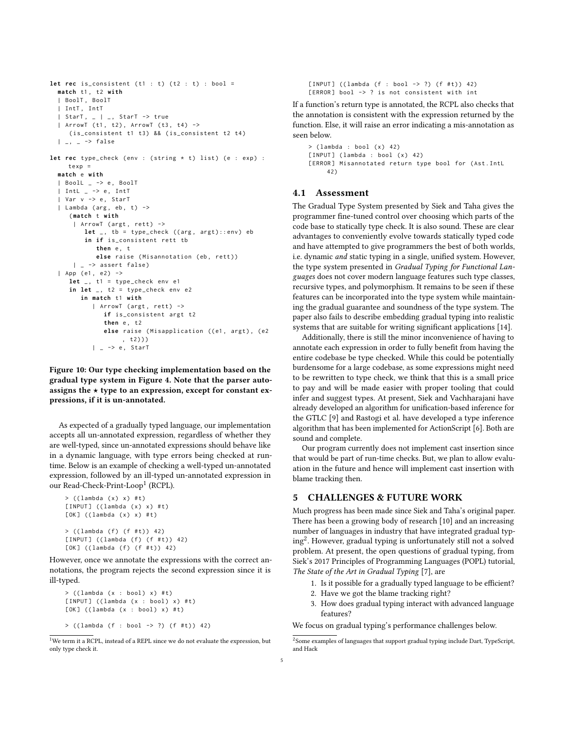```
let rec is_consistent (t1 : t) (t2 : t) : bool =
  match t1 , t2 with
  | BoolT , BoolT
  | IntT , IntT
  | StarT , _ | _ , StarT -> true
  | ArrowT (t1, t2), ArrowT (t3, t4) ->
     (is_consistent t1 t3) && (is_consistent t2 t4)
  | _{\_}, | _{\_} -> false
let rec type_check (env : (string * t) list) (e : exp) :
     textrm{ } texp =
  match e with
  | BoolL _ -> e , BoolT
  | IntL | -> e, IntT
  | Var v -> e , StarT
  | Lambda (arg, eb, t) ->
     ( match t with
      | ArrowT (argt, rett) ->
         let _, tb = type_check ((arg, argt)::env) eb
          in if is_consistent rett tb
             then e, t
             else raise (Misannotation (eb, rett))
      | \rightarrow assert false)
  | App (e1, e2) ->
     let _, t1 = type_{check} env e1
     in let \overline{\phantom{a}}, t2 = type_{\text{check}} env e2
        in match t1 with
            | ArrowT ( argt , rett ) ->
               if is_consistent argt t2
               then e, t2
               else raise (Misapplication ((e1, argt), (e2
                    , t2)))
            | - > e, StarT
```
Figure 10: Our type checking implementation based on the gradual type system in Figure [4.](#page-2-1) Note that the parser autoassigns the  $\star$  type to an expression, except for constant expressions, if it is un-annotated.

As expected of a gradually typed language, our implementation accepts all un-annotated expression, regardless of whether they are well-typed, since un-annotated expressions should behave like in a dynamic language, with type errors being checked at runtime. Below is an example of checking a well-typed un-annotated expression, followed by an ill-typed un-annotated expression in our Read-Check-Print-Loop[1](#page-4-1) (RCPL).

```
> ((lambda (x) x) #t)[INPUT] ((lambda (x) x) #t)
[OK] ((lambda (x) x) #t)
> ((lambda ( f ) (f #t) ) 42)[INPUT] ((lambda (f) (f #t)) 42)
[OK] ((lambda (f) (f #t)) 42)
```
However, once we annotate the expressions with the correct annotations, the program rejects the second expression since it is ill-typed.

```
> ((lambda (x : bool) x) #t)
[INPUT] ((lambda (x : bool) x) #t)
[OK] ((lambda (x : bool) x) #t)
```

```
> ((lambda (f : bool -> ?) (f #t)) 42)
```

```
<sup>1</sup>We term it a RCPL, instead of a REPL since we do not evaluate the expression, but
only type check it.
```
 $[INPUT]$  ((lambda (f : bool -> ?) (f #t)) 42) [ERROR] bool -> ? is not consistent with int

If a function's return type is annotated, the RCPL also checks that the annotation is consistent with the expression returned by the function. Else, it will raise an error indicating a mis-annotation as seen below.

```
> (lambda : bool (x) 42)
[INPUT] (lambda : bool (x) 42)
[ERROR] Misannotated return type bool for (Ast. IntL
     42)
```
#### 4.1 Assessment

The Gradual Type System presented by [Siek and Taha](#page-5-0) gives the programmer fine-tuned control over choosing which parts of the code base to statically type check. It is also sound. These are clear advantages to conveniently evolve towards statically typed code and have attempted to give programmers the best of both worlds, i.e. dynamic and static typing in a single, unified system. However, the type system presented in Gradual Typing for Functional Languages does not cover modern language features such type classes, recursive types, and polymorphism. It remains to be seen if these features can be incorporated into the type system while maintaining the gradual guarantee and soundness of the type system. The paper also fails to describe embedding gradual typing into realistic systems that are suitable for writing significant applications [\[14\]](#page-5-9).

Additionally, there is still the minor inconvenience of having to annotate each expression in order to fully benefit from having the entire codebase be type checked. While this could be potentially burdensome for a large codebase, as some expressions might need to be rewritten to type check, we think that this is a small price to pay and will be made easier with proper tooling that could infer and suggest types. At present, [Siek and Vachharajani](#page-5-14) have already developed an algorithm for unification-based inference for the GTLC [\[9\]](#page-5-14) and [Rastogi et al.](#page-5-15) have developed a type inference algorithm that has been implemented for ActionScript [\[6\]](#page-5-15). Both are sound and complete.

Our program currently does not implement cast insertion since that would be part of run-time checks. But, we plan to allow evaluation in the future and hence will implement cast insertion with blame tracking then.

# 5 CHALLENGES & FUTURE WORK

Much progress has been made since [Siek and Taha'](#page-5-0)s original paper. There has been a growing body of research [\[10\]](#page-5-1) and an increasing number of languages in industry that have integrated gradual typing[2](#page-4-2) . However, gradual typing is unfortunately still not a solved problem. At present, the open questions of gradual typing, from [Siek'](#page-5-4)s 2017 Principles of Programming Languages (POPL) tutorial, The State of the Art in Gradual Typing [\[7\]](#page-5-4), are

- 1. Is it possible for a gradually typed language to be efficient?
- 2. Have we got the blame tracking right?
- 3. How does gradual typing interact with advanced language features?

We focus on gradual typing's performance challenges below.

<span id="page-4-2"></span> $^{2}$ Some examples of languages that support gradual typing include Dart, TypeScript, and Hack